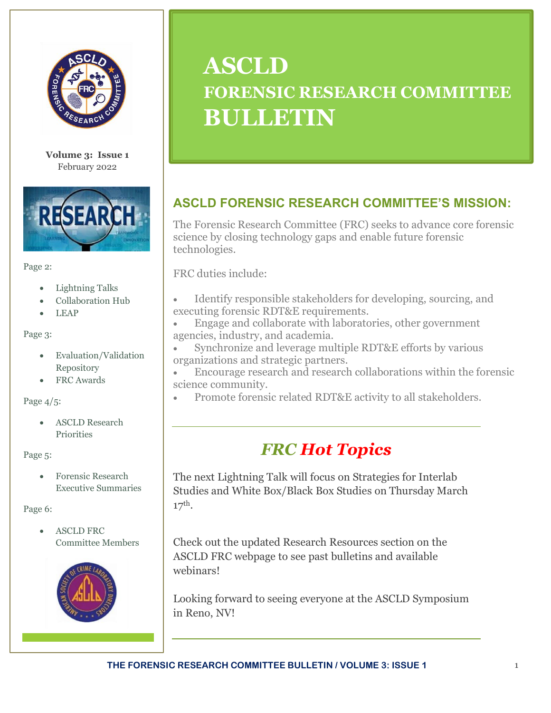

**Volume 3: Issue 1** February 2022



#### Page 2:

- Lightning Talks
- Collaboration Hub
- LEAP

Page 3:

- Evaluation/Validation Repository
- FRC Awards

Page 4/5:

• ASCLD Research **Priorities** 

#### Page 5:

• Forensic Research Executive Summaries

Page 6:

• ASCLD FRC Committee Members



# **ASCLD FORENSIC RESEARCH COMMITTEE BULLETIN**

# **ASCLD FORENSIC RESEARCH COMMITTEE'S MISSION:**

The Forensic Research Committee (FRC) seeks to advance core forensic science by closing technology gaps and enable future forensic technologies.

FRC duties include:

- Identify responsible stakeholders for developing, sourcing, and executing forensic RDT&E requirements.
- Engage and collaborate with laboratories, other government agencies, industry, and academia.
- Synchronize and leverage multiple RDT&E efforts by various organizations and strategic partners.
- Encourage research and research collaborations within the forensic science community.
- Promote forensic related RDT&E activity to all stakeholders.

# *FRC Hot Topics*

The next Lightning Talk will focus on Strategies for Interlab Studies and White Box/Black Box Studies on Thursday March 17th.

Check out the updated Research Resources section on the ASCLD FRC webpage to see past bulletins and available webinars!

Looking forward to seeing everyone at the ASCLD Symposium in Reno, NV!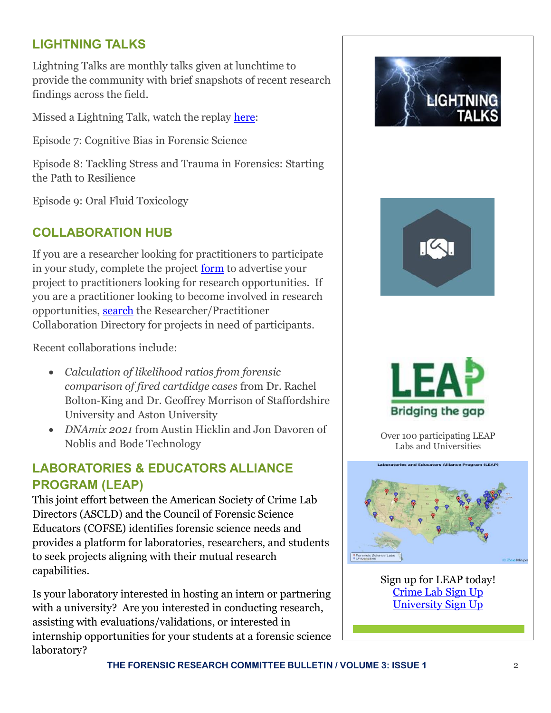## **LIGHTNING TALKS**

Lightning Talks are monthly talks given at lunchtime to provide the community with brief snapshots of recent research findings across the field.

Missed a Lightning Talk, watch the replay [here:](https://www.youtube.com/playlist?list=PLcJytUig4FZJ95Cs_BoNivKDIW3otC3AP)

Episode 7: Cognitive Bias in Forensic Science

Episode 8: Tackling Stress and Trauma in Forensics: Starting the Path to Resilience

Episode 9: Oral Fluid Toxicology

### **COLLABORATION HUB**

If you are a researcher looking for practitioners to participate in your study, complete the project [form](https://www.ascld.org/researchers-seeking-practitioners-study-form/) to advertise your project to practitioners looking for research opportunities. If you are a practitioner looking to become involved in research opportunities, [search](https://www.ascld.org/researcher-practitioner-collaboration-directory/) the Researcher/Practitioner Collaboration Directory for projects in need of participants.

Recent collaborations include:

- *Calculation of likelihood ratios from forensic comparison of fired cartdidge cases* from Dr. Rachel Bolton-King and Dr. Geoffrey Morrison of Staffordshire University and Aston University
- *DNAmix 2021* from Austin Hicklin and Jon Davoren of Noblis and Bode Technology

# **LABORATORIES & EDUCATORS ALLIANCE PROGRAM (LEAP)**

This joint effort between the American Society of Crime Lab Directors (ASCLD) and the Council of Forensic Science Educators (COFSE) identifies forensic science needs and provides a platform for laboratories, researchers, and students to seek projects aligning with their mutual research capabilities.

Is your laboratory interested in hosting an intern or partnering with a university? Are you interested in conducting research, assisting with evaluations/validations, or interested in internship opportunities for your students at a forensic science laboratory?





Over 100 participating LEAP Labs and Universities



Sign up for LEAP today! [Crime Lab Sign Up](https://www.ascld.org/wp-content/uploads/2020/06/LEAP-Lab-Sign-up-Form-2020.pdf)  [University Sign Up](https://www.ascld.org/wp-content/uploads/2020/06/LEAP-University-Sign-up-Form_2020.pdf)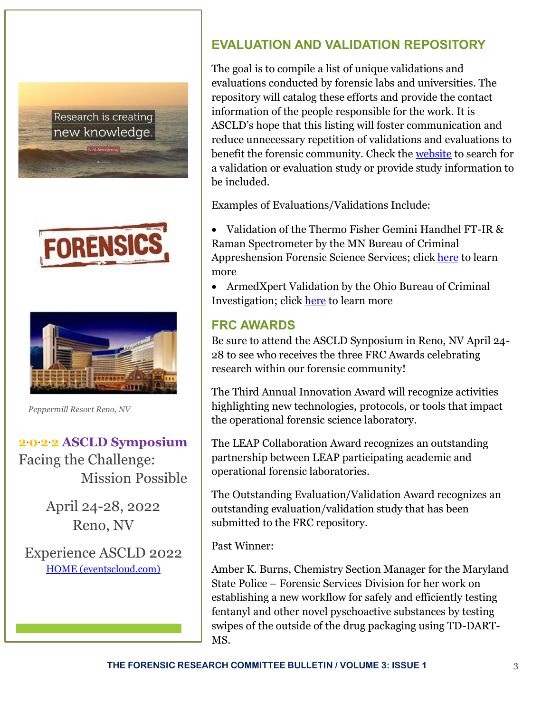Research is creating new knowledge.





 *Peppermill Resort Reno, NV*

# **2.0.2.2 ASCLD Symposium**

Facing the Challenge: Mission Possible

> April 24-28, 2022 Reno, NV

Experience ASCLD 2022 [HOME \(eventscloud.com\)](https://na.eventscloud.com/website/31106/)

### **EVALUATION AND VALIDATION REPOSITORY**

The goal is to compile a list of unique validations and evaluations conducted by forensic labs and universities. The repository will catalog these efforts and provide the contact information of the people responsible for the work. It is ASCLD's hope that this listing will foster communication and reduce unnecessary repetition of validations and evaluations to benefit the forensic community. Check th[e website](https://www.ascld.org/validation-evaluation-repository/) to search for a validation or evaluation study or provide study information to be included.

Examples of Evaluations/Validations Include:

• Validation of the Thermo Fisher Gemini Handhel FT-IR & Raman Spectrometer by the MN Bureau of Criminal Appreshension Forensic Science Services; click [here](https://www.ascld.org/wp-content/uploads/formidable/13/Drug-Chemistry-15-019-V.pdf) to learn more

• ArmedXpert Validation by the Ohio Bureau of Criminal Investigation; clic[k here](https://www.ascld.org/wp-content/uploads/formidable/13/Ohio-BCI-ArmedXpert-Validation-12222020-signed.pdf) to learn more

### **FRC AWARDS**

Be sure to attend the ASCLD Synposium in Reno, NV April 24- 28 to see who receives the three FRC Awards celebrating research within our forensic community!

The Third Annual Innovation Award will recognize activities highlighting new technologies, protocols, or tools that impact the operational forensic science laboratory.

The LEAP Collaboration Award recognizes an outstanding partnership between LEAP participating academic and operational forensic laboratories.

The Outstanding Evaluation/Validation Award recognizes an outstanding evaluation/validation study that has been submitted to the FRC repository.

Past Winner:

Amber K. Burns, Chemistry Section Manager for the Maryland State Police – Forensic Services Division for her work on establishing a new workflow for safely and efficiently testing fentanyl and other novel pyschoactive substances by testing swipes of the outside of the drug packaging using TD-DART-MS.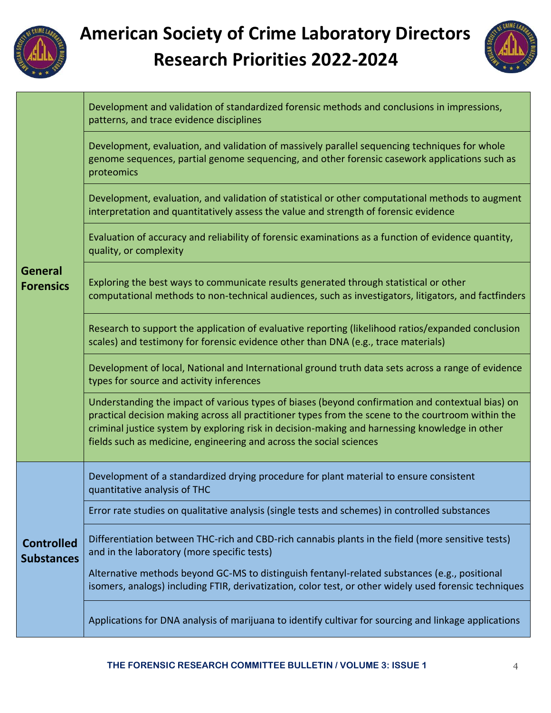

# **American Society of Crime Laboratory Directors Research Priorities 2022-2024**



|                                        | Development and validation of standardized forensic methods and conclusions in impressions,<br>patterns, and trace evidence disciplines                                                                                                                                                                                                                                         |  |  |  |  |
|----------------------------------------|---------------------------------------------------------------------------------------------------------------------------------------------------------------------------------------------------------------------------------------------------------------------------------------------------------------------------------------------------------------------------------|--|--|--|--|
| <b>General</b><br><b>Forensics</b>     | Development, evaluation, and validation of massively parallel sequencing techniques for whole<br>genome sequences, partial genome sequencing, and other forensic casework applications such as<br>proteomics                                                                                                                                                                    |  |  |  |  |
|                                        | Development, evaluation, and validation of statistical or other computational methods to augment<br>interpretation and quantitatively assess the value and strength of forensic evidence                                                                                                                                                                                        |  |  |  |  |
|                                        | Evaluation of accuracy and reliability of forensic examinations as a function of evidence quantity,<br>quality, or complexity                                                                                                                                                                                                                                                   |  |  |  |  |
|                                        | Exploring the best ways to communicate results generated through statistical or other<br>computational methods to non-technical audiences, such as investigators, litigators, and factfinders                                                                                                                                                                                   |  |  |  |  |
|                                        | Research to support the application of evaluative reporting (likelihood ratios/expanded conclusion<br>scales) and testimony for forensic evidence other than DNA (e.g., trace materials)                                                                                                                                                                                        |  |  |  |  |
|                                        | Development of local, National and International ground truth data sets across a range of evidence<br>types for source and activity inferences                                                                                                                                                                                                                                  |  |  |  |  |
|                                        | Understanding the impact of various types of biases (beyond confirmation and contextual bias) on<br>practical decision making across all practitioner types from the scene to the courtroom within the<br>criminal justice system by exploring risk in decision-making and harnessing knowledge in other<br>fields such as medicine, engineering and across the social sciences |  |  |  |  |
| <b>Controlled</b><br><b>Substances</b> | Development of a standardized drying procedure for plant material to ensure consistent<br>quantitative analysis of THC                                                                                                                                                                                                                                                          |  |  |  |  |
|                                        | Error rate studies on qualitative analysis (single tests and schemes) in controlled substances                                                                                                                                                                                                                                                                                  |  |  |  |  |
|                                        | Differentiation between THC-rich and CBD-rich cannabis plants in the field (more sensitive tests)<br>and in the laboratory (more specific tests)                                                                                                                                                                                                                                |  |  |  |  |
|                                        | Alternative methods beyond GC-MS to distinguish fentanyl-related substances (e.g., positional<br>isomers, analogs) including FTIR, derivatization, color test, or other widely used forensic techniques                                                                                                                                                                         |  |  |  |  |
|                                        | Applications for DNA analysis of marijuana to identify cultivar for sourcing and linkage applications                                                                                                                                                                                                                                                                           |  |  |  |  |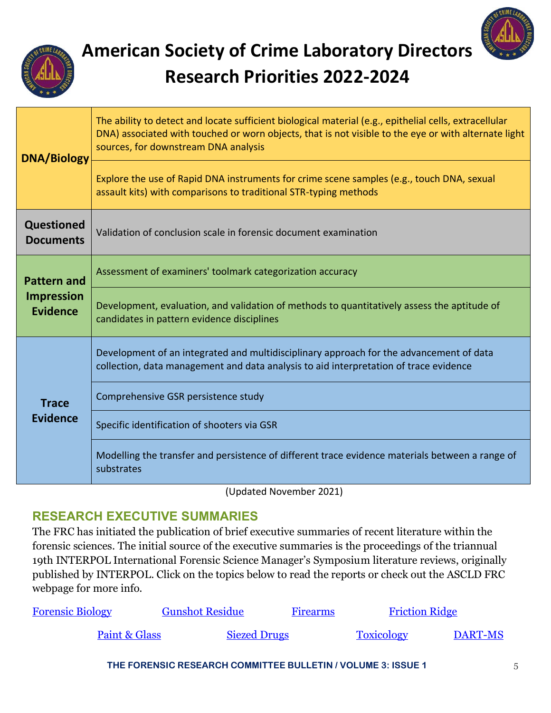

# **American Society of Crime Laboratory Directors Research Priorities 2022-2024**

| <b>DNA/Biology</b>                                         | The ability to detect and locate sufficient biological material (e.g., epithelial cells, extracellular<br>DNA) associated with touched or worn objects, that is not visible to the eye or with alternate light<br>sources, for downstream DNA analysis<br>Explore the use of Rapid DNA instruments for crime scene samples (e.g., touch DNA, sexual<br>assault kits) with comparisons to traditional STR-typing methods |  |  |  |  |
|------------------------------------------------------------|-------------------------------------------------------------------------------------------------------------------------------------------------------------------------------------------------------------------------------------------------------------------------------------------------------------------------------------------------------------------------------------------------------------------------|--|--|--|--|
| <b>Questioned</b><br><b>Documents</b>                      | Validation of conclusion scale in forensic document examination                                                                                                                                                                                                                                                                                                                                                         |  |  |  |  |
| <b>Pattern and</b><br><b>Impression</b><br><b>Evidence</b> | Assessment of examiners' toolmark categorization accuracy                                                                                                                                                                                                                                                                                                                                                               |  |  |  |  |
|                                                            | Development, evaluation, and validation of methods to quantitatively assess the aptitude of<br>candidates in pattern evidence disciplines                                                                                                                                                                                                                                                                               |  |  |  |  |
| <b>Trace</b><br><b>Evidence</b>                            | Development of an integrated and multidisciplinary approach for the advancement of data<br>collection, data management and data analysis to aid interpretation of trace evidence                                                                                                                                                                                                                                        |  |  |  |  |
|                                                            | Comprehensive GSR persistence study                                                                                                                                                                                                                                                                                                                                                                                     |  |  |  |  |
|                                                            | Specific identification of shooters via GSR                                                                                                                                                                                                                                                                                                                                                                             |  |  |  |  |
|                                                            | Modelling the transfer and persistence of different trace evidence materials between a range of<br>substrates                                                                                                                                                                                                                                                                                                           |  |  |  |  |

(Updated November 2021)

#### **RESEARCH EXECUTIVE SUMMARIES**

The FRC has initiated the publication of brief executive summaries of recent literature within the forensic sciences. The initial source of the executive summaries is the proceedings of the triannual 19th INTERPOL International Forensic Science Manager's Symposium literature reviews, originally published by INTERPOL. Click on the topics below to read the reports or check out the ASCLD FRC webpage for more info.

| <b>Forensic Biology</b> | <b>Gunshot Residue</b> | <b>Firearms</b> | <b>Friction Ridge</b> |                |
|-------------------------|------------------------|-----------------|-----------------------|----------------|
| Paint & Glass           | <b>Siezed Drugs</b>    |                 | <b>Toxicology</b>     | <b>DART-MS</b> |

**THE FORENSIC RESEARCH COMMITTEE BULLETIN / VOLUME 3: ISSUE 1** 5